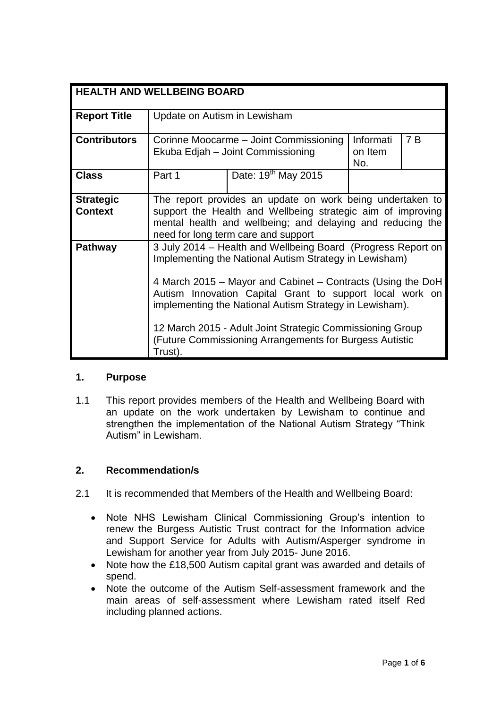| HEALTH AND WELLBEING BOARD         |                                                                                                                                                                                                                                                                                                                                                                                                                                                 |                                 |                             |     |
|------------------------------------|-------------------------------------------------------------------------------------------------------------------------------------------------------------------------------------------------------------------------------------------------------------------------------------------------------------------------------------------------------------------------------------------------------------------------------------------------|---------------------------------|-----------------------------|-----|
| <b>Report Title</b>                | Update on Autism in Lewisham                                                                                                                                                                                                                                                                                                                                                                                                                    |                                 |                             |     |
| <b>Contributors</b>                | Corinne Moocarme - Joint Commissioning<br>Ekuba Edjah - Joint Commissioning                                                                                                                                                                                                                                                                                                                                                                     |                                 | Informati<br>on Item<br>No. | 7 B |
| <b>Class</b>                       | Part 1                                                                                                                                                                                                                                                                                                                                                                                                                                          | Date: 19 <sup>th</sup> May 2015 |                             |     |
| <b>Strategic</b><br><b>Context</b> | The report provides an update on work being undertaken to<br>support the Health and Wellbeing strategic aim of improving<br>mental health and wellbeing; and delaying and reducing the<br>need for long term care and support                                                                                                                                                                                                                   |                                 |                             |     |
| <b>Pathway</b>                     | 3 July 2014 – Health and Wellbeing Board (Progress Report on<br>Implementing the National Autism Strategy in Lewisham)<br>4 March 2015 – Mayor and Cabinet – Contracts (Using the DoH<br>Autism Innovation Capital Grant to support local work on<br>implementing the National Autism Strategy in Lewisham).<br>12 March 2015 - Adult Joint Strategic Commissioning Group<br>(Future Commissioning Arrangements for Burgess Autistic<br>Trust). |                                 |                             |     |

#### **1. Purpose**

1.1 This report provides members of the Health and Wellbeing Board with an update on the work undertaken by Lewisham to continue and strengthen the implementation of the National Autism Strategy "Think Autism" in Lewisham.

# **2. Recommendation/s**

- 2.1 It is recommended that Members of the Health and Wellbeing Board:
	- Note NHS Lewisham Clinical Commissioning Group's intention to renew the Burgess Autistic Trust contract for the Information advice and Support Service for Adults with Autism/Asperger syndrome in Lewisham for another year from July 2015- June 2016.
	- Note how the £18,500 Autism capital grant was awarded and details of spend.
	- Note the outcome of the Autism Self-assessment framework and the main areas of self-assessment where Lewisham rated itself Red including planned actions.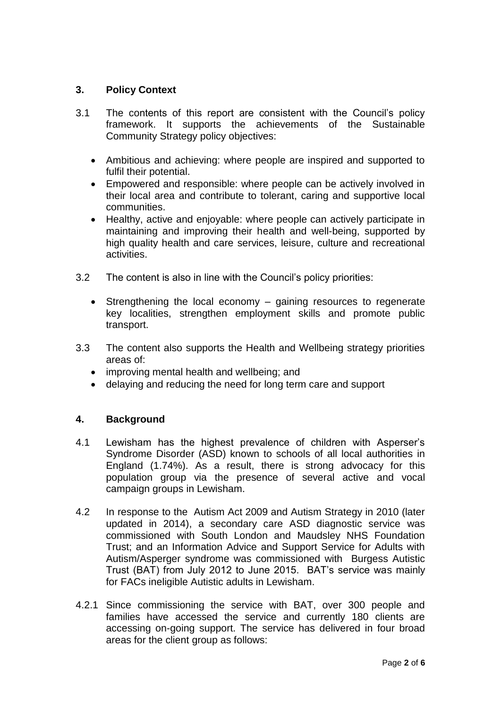### **3. Policy Context**

- 3.1 The contents of this report are consistent with the Council's policy framework. It supports the achievements of the Sustainable Community Strategy policy objectives:
	- Ambitious and achieving: where people are inspired and supported to fulfil their potential.
	- Empowered and responsible: where people can be actively involved in their local area and contribute to tolerant, caring and supportive local communities.
	- Healthy, active and enjoyable: where people can actively participate in maintaining and improving their health and well-being, supported by high quality health and care services, leisure, culture and recreational activities.
- 3.2 The content is also in line with the Council's policy priorities:
	- Strengthening the local economy gaining resources to regenerate key localities, strengthen employment skills and promote public transport.
- 3.3 The content also supports the Health and Wellbeing strategy priorities areas of:
	- improving mental health and wellbeing; and
	- delaying and reducing the need for long term care and support

# **4. Background**

- 4.1 Lewisham has the highest prevalence of children with Asperser's Syndrome Disorder (ASD) known to schools of all local authorities in England (1.74%). As a result, there is strong advocacy for this population group via the presence of several active and vocal campaign groups in Lewisham.
- 4.2 In response to the Autism Act 2009 and Autism Strategy in 2010 (later updated in 2014), a secondary care ASD diagnostic service was commissioned with South London and Maudsley NHS Foundation Trust; and an Information Advice and Support Service for Adults with Autism/Asperger syndrome was commissioned with Burgess Autistic Trust (BAT) from July 2012 to June 2015. BAT's service was mainly for FACs ineligible Autistic adults in Lewisham.
- 4.2.1 Since commissioning the service with BAT, over 300 people and families have accessed the service and currently 180 clients are accessing on-going support. The service has delivered in four broad areas for the client group as follows: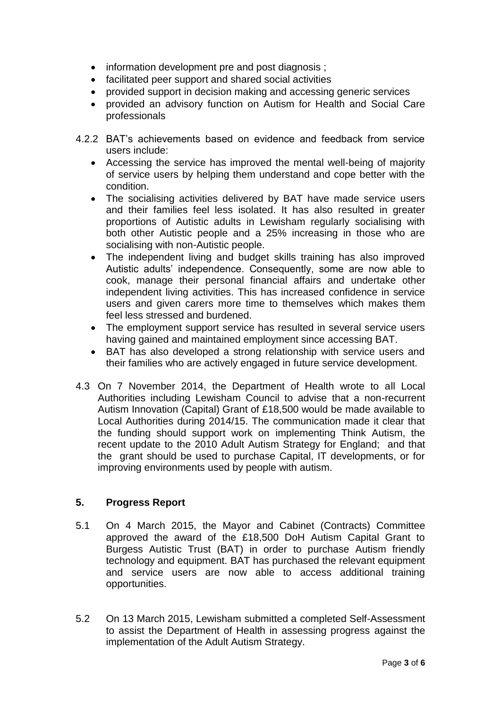- information development pre and post diagnosis;
- facilitated peer support and shared social activities
- provided support in decision making and accessing generic services
- provided an advisory function on Autism for Health and Social Care professionals
- 4.2.2 BAT's achievements based on evidence and feedback from service users include:
	- Accessing the service has improved the mental well-being of majority of service users by helping them understand and cope better with the condition.
	- The socialising activities delivered by BAT have made service users and their families feel less isolated. It has also resulted in greater proportions of Autistic adults in Lewisham regularly socialising with both other Autistic people and a 25% increasing in those who are socialising with non-Autistic people.
	- The independent living and budget skills training has also improved Autistic adults' independence. Consequently, some are now able to cook, manage their personal financial affairs and undertake other independent living activities. This has increased confidence in service users and given carers more time to themselves which makes them feel less stressed and burdened.
	- The employment support service has resulted in several service users having gained and maintained employment since accessing BAT.
	- BAT has also developed a strong relationship with service users and their families who are actively engaged in future service development.
- 4.3 On 7 November 2014, the Department of Health wrote to all Local Authorities including Lewisham Council to advise that a non-recurrent Autism Innovation (Capital) Grant of £18,500 would be made available to Local Authorities during 2014/15. The communication made it clear that the funding should support work on implementing Think Autism, the recent update to the 2010 Adult Autism Strategy for England; and that the grant should be used to purchase Capital, IT developments, or for improving environments used by people with autism.

# **5. Progress Report**

- 5.1 On 4 March 2015, the Mayor and Cabinet (Contracts) Committee approved the award of the £18,500 DoH Autism Capital Grant to Burgess Autistic Trust (BAT) in order to purchase Autism friendly technology and equipment. BAT has purchased the relevant equipment and service users are now able to access additional training opportunities.
- 5.2 On 13 March 2015, Lewisham submitted a completed Self-Assessment to assist the Department of Health in assessing progress against the implementation of the Adult Autism Strategy.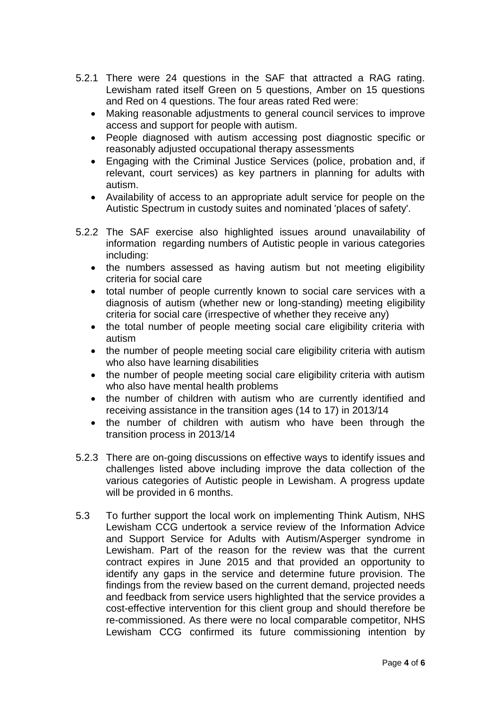- 5.2.1 There were 24 questions in the SAF that attracted a RAG rating. Lewisham rated itself Green on 5 questions, Amber on 15 questions and Red on 4 questions. The four areas rated Red were:
	- Making reasonable adjustments to general council services to improve access and support for people with autism.
	- People diagnosed with autism accessing post diagnostic specific or reasonably adjusted occupational therapy assessments
	- Engaging with the Criminal Justice Services (police, probation and, if relevant, court services) as key partners in planning for adults with autism.
	- Availability of access to an appropriate adult service for people on the Autistic Spectrum in custody suites and nominated 'places of safety'.
- 5.2.2 The SAF exercise also highlighted issues around unavailability of information regarding numbers of Autistic people in various categories including:
	- the numbers assessed as having autism but not meeting eligibility criteria for social care
	- total number of people currently known to social care services with a diagnosis of autism (whether new or long-standing) meeting eligibility criteria for social care (irrespective of whether they receive any)
	- the total number of people meeting social care eligibility criteria with autism
	- the number of people meeting social care eligibility criteria with autism who also have learning disabilities
	- the number of people meeting social care eligibility criteria with autism who also have mental health problems
	- the number of children with autism who are currently identified and receiving assistance in the transition ages (14 to 17) in 2013/14
	- the number of children with autism who have been through the transition process in 2013/14
- 5.2.3 There are on-going discussions on effective ways to identify issues and challenges listed above including improve the data collection of the various categories of Autistic people in Lewisham. A progress update will be provided in 6 months.
- 5.3 To further support the local work on implementing Think Autism, NHS Lewisham CCG undertook a service review of the Information Advice and Support Service for Adults with Autism/Asperger syndrome in Lewisham. Part of the reason for the review was that the current contract expires in June 2015 and that provided an opportunity to identify any gaps in the service and determine future provision. The findings from the review based on the current demand, projected needs and feedback from service users highlighted that the service provides a cost-effective intervention for this client group and should therefore be re-commissioned. As there were no local comparable competitor, NHS Lewisham CCG confirmed its future commissioning intention by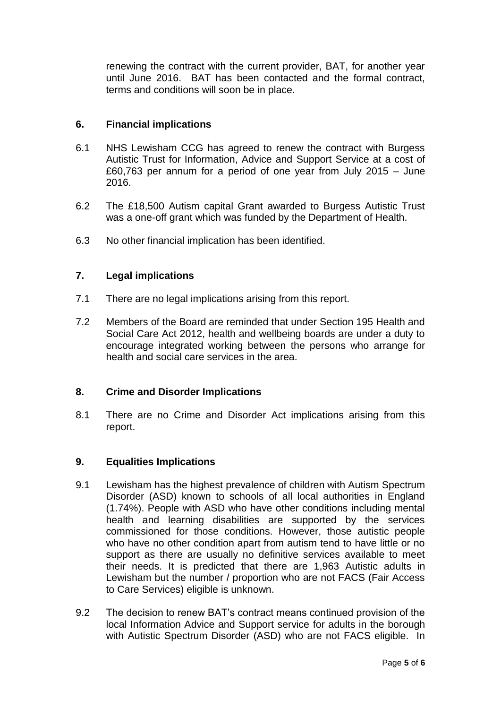renewing the contract with the current provider, BAT, for another year until June 2016. BAT has been contacted and the formal contract, terms and conditions will soon be in place.

### **6. Financial implications**

- 6.1 NHS Lewisham CCG has agreed to renew the contract with Burgess Autistic Trust for Information, Advice and Support Service at a cost of £60,763 per annum for a period of one year from July 2015 – June 2016.
- 6.2 The £18,500 Autism capital Grant awarded to Burgess Autistic Trust was a one-off grant which was funded by the Department of Health.
- 6.3 No other financial implication has been identified.

# **7. Legal implications**

- 7.1 There are no legal implications arising from this report.
- 7.2 Members of the Board are reminded that under Section 195 Health and Social Care Act 2012, health and wellbeing boards are under a duty to encourage integrated working between the persons who arrange for health and social care services in the area.

#### **8. Crime and Disorder Implications**

8.1 There are no Crime and Disorder Act implications arising from this report.

# **9. Equalities Implications**

- 9.1 Lewisham has the highest prevalence of children with Autism Spectrum Disorder (ASD) known to schools of all local authorities in England (1.74%). People with ASD who have other conditions including mental health and learning disabilities are supported by the services commissioned for those conditions. However, those autistic people who have no other condition apart from autism tend to have little or no support as there are usually no definitive services available to meet their needs. It is predicted that there are 1,963 Autistic adults in Lewisham but the number / proportion who are not FACS (Fair Access to Care Services) eligible is unknown.
- 9.2 The decision to renew BAT's contract means continued provision of the local Information Advice and Support service for adults in the borough with Autistic Spectrum Disorder (ASD) who are not FACS eligible. In